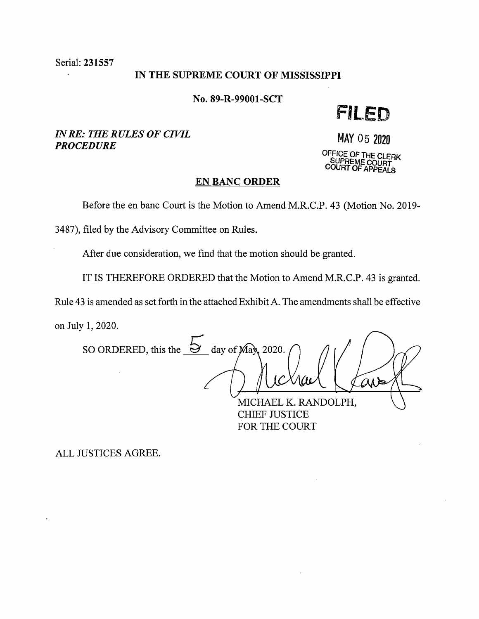Serial: 231557

## IN THE SUPREME COURT OF MISSISSIPPI

No. 89-R-99001-SCT

**FILED** 

# *IN RE: THE RULES OF CIVIL PROCEDURE*

**MAY** 05 **<sup>2020</sup>**

**OFFICE OF THE CLERK SUPREME COURT COURT OF APPEALS** 

## **EN BANC ORDER**

Before the en bane Court is the Motion to Amend M.R.C.P. 43 (Motion No. 2019-

3487), filed by the Advisory Committee on Rules.

After due consideration, we find that the motion should be granted.

IT IS THEREFORE ORDERED that the Motion to Amend M.R.C.P. 43 is granted.

Rule 43 is amended as set forth in the attached Exhibit A. The amendments shall be effective on July 1, 2020.

 $\frac{5}{2}$  day of Max 2020.  $\bigcap$   $\bigcap$ SO ORDERED, this the ANS MICHAEL K. RANDOLPH,

CHIEF JUSTICE FOR THE COURT

ALL JUSTICES AGREE.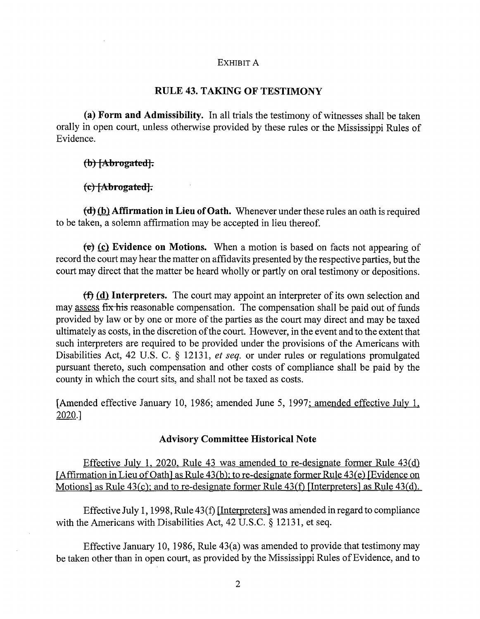#### EXHIBIT A

### **RULE 43. TAKING OF TESTIMONY**

**(a) Form and Admissibility.** In all trials the testimony of witnesses shall be taken orally in open court, unless otherwise provided by these rules or the Mississippi Rules of Evidence.

**(b) [Ab1 ogated]** 

**(c) [Ab1 ogated]** 

**(d) (b)** Affirmation in Lieu of Oath. Whenever under these rules an oath is required to be taken, a solemn affirmation may be accepted in lieu thereof.

*(e)* **(c) Evidence on Motions.** When a motion is based on facts not appearing of record the court may hear the matter on affidavits presented by the respective parties, but the court may direct that the matter be heard wholly or partly on oral testimony or depositions.

**ff)** (d) Interpreters. The court may appoint an interpreter of its own selection and may assess fix his reasonable compensation. The compensation shall be paid out of funds provided by law or by one or more of the parties as the court may direct and may be taxed ultimately as costs, in the discretion of the court. However, in the event and to the extent that such interpreters are required to be provided under the provisions of the Americans with Disabilities Act, 42 U.S. C. § 12131, *et seq.* or under rules or regulations promulgated pursuant thereto, such compensation and other costs of compliance shall be paid by the county in which the court sits, and shall not be taxed as costs.

(Amended effective January 10, 1986; amended June 5, 1997: amended effective July 1, 2020.]

### **Advisory Committee Historical Note**

Effective July 1, 2020, Rule 43 was amended to re-designate former Rule 43(d) [Affirmation in Lieu of Oath] as Rule 43(b); to re-designate former Rule 43(e) [Evidence on Motions] as Rule  $43(c)$ ; and to re-designate former Rule  $43(f)$  [Interpreters] as Rule  $43(d)$ .

Effective July 1, 1998, Rule 43(f) [Interpreters] was amended in regard to compliance with the Americans with Disabilities Act, 42 U.S.C. § 12131, et seq.

Effective January 10, 1986, Rule 43(a) was amended to provide.that testimony may be taken other than in open court, as provided by the Mississippi Rules of Evidence, and to